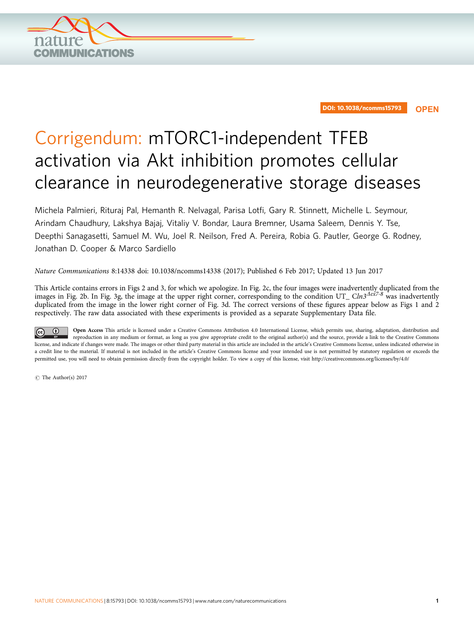

DOI: 10.1038/ncomms15793 **OPEN**

## Corrigendum: mTORC1-independent TFEB activation via Akt inhibition promotes cellular clearance in neurodegenerative storage diseases

Michela Palmieri, Rituraj Pal, Hemanth R. Nelvagal, Parisa Lotfi, Gary R. Stinnett, Michelle L. Seymour, Arindam Chaudhury, Lakshya Bajaj, Vitaliy V. Bondar, Laura Bremner, Usama Saleem, Dennis Y. Tse, Deepthi Sanagasetti, Samuel M. Wu, Joel R. Neilson, Fred A. Pereira, Robia G. Pautler, George G. Rodney, Jonathan D. Cooper & Marco Sardiello

Nature Communications 8:14338 doi: [10.1038/ncomms14338](http://dx.doi.org/10.1038/ncomms14338) (2017); Published 6 Feb 2017; Updated 13 Jun 2017

This Article contains errors in Figs 2 and 3, for which we apologize. In Fig. 2c, the four images were inadvertently duplicated from the images in Fig. 2b. In Fig. 3g, the image at the upper right corner, corresponding to the condition UT\_ Cln3<sup>Aex7-8</sup> was inadvertently duplicated from the image in the lower right corner of Fig. 3d. The correct versions of these figures appear below as [Figs 1 and 2](#page-1-0) respectively. The raw data associated with these experiments is provided as a separate Supplementary Data file.

Open Access This article is licensed under a Creative Commons Attribution 4.0 International License, which permits use, sharing, adaptation, distribution and reproduction in any medium or format, as long as you give appropriate credit to the original author(s) and the source, provide a link to the Creative Commons license, and indicate if changes were made. The images or other third party material in this article are included in the article's Creative Commons license, unless indicated otherwise in a credit line to the material. If material is not included in the article's Creative Commons license and your intended use is not permitted by statutory regulation or exceeds the permitted use, you will need to obtain permission directly from the copyright holder. To view a copy of this license, visit<http://creativecommons.org/licenses/by/4.0/>

 $\odot$  The Author(s) 2017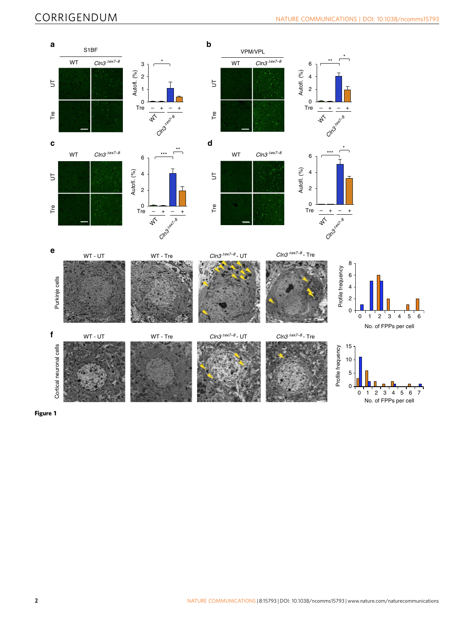<span id="page-1-0"></span>

Figure 1